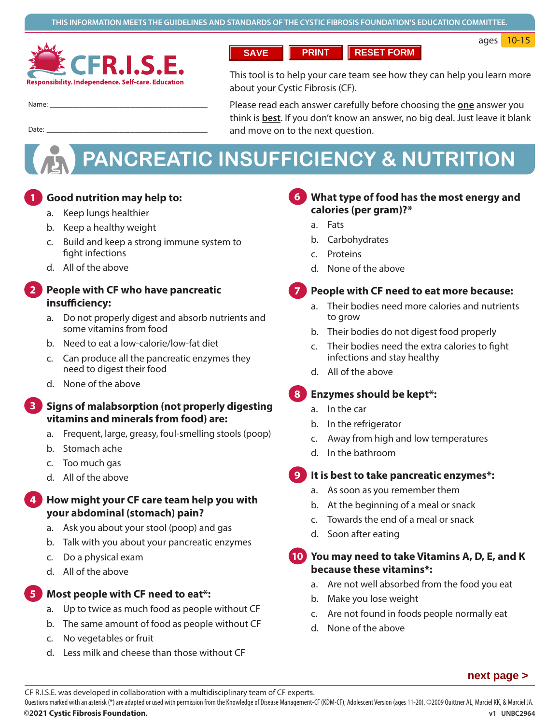ages 10-15



Date: ��������������������������������������������

**SAVE PRINT RESET FORM**

This tool is to help your care team see how they can help you learn more about your Cystic Fibrosis (CF).

Name: �������������������������������������������

Please read each answer carefully before choosing the **one** answer you think is **best**. If you don't know an answer, no big deal. Just leave it blank and move on to the next question.

# **PANCREATIC INSUFFICIENCY & NUTRITION**

#### **1 Good nutrition may help to: 1**

- a. Keep lungs healthier
- b. Keep a healthy weight
- c. Build and keep a strong immune system to fight infections
- d. All of the above

#### **2 People with CF who have pancreatic insufficiency: 2**

- a. Do not properly digest and absorb nutrients and some vitamins from food
- b. Need to eat a low-calorie/low-fat diet
- c. Can produce all the pancreatic enzymes they need to digest their food
- d. None of the above

#### **3 Signs of malabsorption (not properly digesting vitamins and minerals from food) are: 3**

- a. Frequent, large, greasy, foul-smelling stools (poop)
- b. Stomach ache
- c. Too much gas
- d. All of the above

#### **4 How might your CF care team help you with your abdominal (stomach) pain? 4**

- a. Ask you about your stool (poop) and gas
- b. Talk with you about your pancreatic enzymes
- c. Do a physical exam
- d. All of the above
- **5 Most people with CF need to eat\*: 5**
	- a. Up to twice as much food as people without CF
	- b. The same amount of food as people without CF
	- c. No vegetables or fruit
	- d. Less milk and cheese than those without CF

# **6 What type of food has the most energy and calories (per gram)?\***

- a. Fats
- b. Carbohydrates
- c. Proteins
- d. None of the above

#### **7. People with CF need to eat more because: 7**

- a. Their bodies need more calories and nutrients to grow
- b. Their bodies do not digest food properly
- c. Their bodies need the extra calories to fight infections and stay healthy
- d. All of the above

#### **8. Enzymes should be kept\*: 8**

- a. In the car
- b. In the refrigerator
- c. Away from high and low temperatures
- d. In the bathroom
- **9. It is best to take pancreatic enzymes\*: 9**
	- a. As soon as you remember them
	- b. At the beginning of a meal or snack
	- c. Towards the end of a meal or snack
	- d. Soon after eating

# **10 You may need to take Vitamins A, D, E, and K 10 because these vitamins\*:**

- a. Are not well absorbed from the food you eat
- b. Make you lose weight
- c. Are not found in foods people normally eat
- d. None of the above

CF R.I.S.E. was developed in collaboration with a multidisciplinary team of CF experts.

**©2021 Cystic Fibrosis Foundation. v1 UNBC2964**  Questions marked with an asterisk (\*) are adapted or used with permission from the Knowledge of Disease Management-CF (KDM-CF), Adolescent Version (ages 11-20). ©2009 Quittner AL, Marciel KK, & Marciel JA.